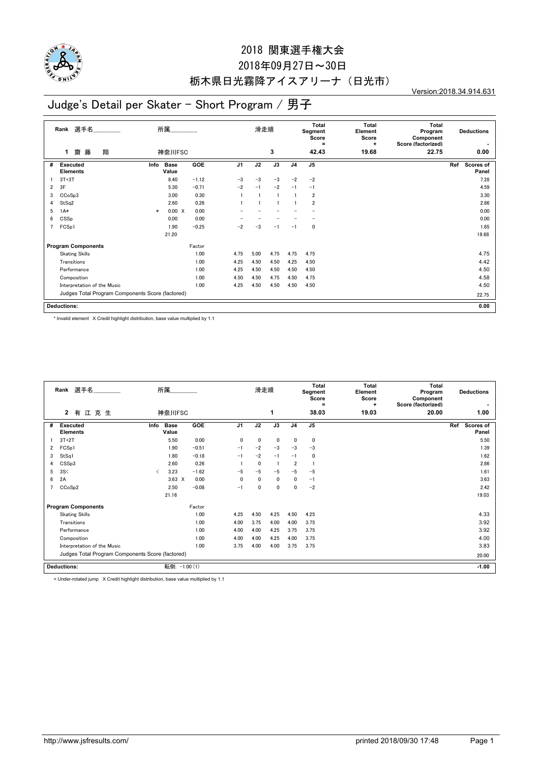

#### 2018 関東選手権大会

## 2018年09月27日~30日 栃木県日光霧降アイスアリーナ(日光市)

Version:2018.34.914.631

## Judge's Detail per Skater - Short Program / 男子

| 選手名<br>所属<br>Rank                                |                                    |        |                      |            |                | 滑走順  |      | <b>Total</b><br>Segment<br>Score<br>$\equiv$ |                | <b>Total</b><br>Element<br>Score<br>÷ | <b>Total</b><br>Program<br>Component<br>Score (factorized) | <b>Deductions</b>         |  |  |
|--------------------------------------------------|------------------------------------|--------|----------------------|------------|----------------|------|------|----------------------------------------------|----------------|---------------------------------------|------------------------------------------------------------|---------------------------|--|--|
|                                                  | 翔<br>齌<br>藤<br>1                   | 神奈川FSC |                      |            |                | 3    |      |                                              | 42.43          | 19.68                                 | 22.75                                                      | 0.00                      |  |  |
| #                                                | <b>Executed</b><br><b>Elements</b> | Info   | <b>Base</b><br>Value | <b>GOE</b> | J <sub>1</sub> | J2   | J3   | J <sub>4</sub>                               | J <sub>5</sub> |                                       |                                                            | Ref<br>Scores of<br>Panel |  |  |
|                                                  | $3T+3T$                            |        | 8.40                 | $-1.12$    | $-3$           | $-3$ | $-3$ | $-2$                                         | $-2$           |                                       |                                                            | 7.28                      |  |  |
| 2                                                | 3F                                 |        | 5.30                 | $-0.71$    | $-2$           | $-1$ | $-2$ | $-1$                                         | $-1$           |                                       |                                                            | 4.59                      |  |  |
| 3                                                | CCoSp3                             |        | 3.00                 | 0.30       |                |      |      |                                              | $\overline{2}$ |                                       |                                                            | 3.30                      |  |  |
|                                                  | StSq2                              |        | 2.60                 | 0.26       |                |      |      |                                              | $\overline{2}$ |                                       |                                                            | 2.86                      |  |  |
| 5                                                | $1A*$                              | $\ast$ | 0.00 X               | 0.00       |                |      |      |                                              |                |                                       |                                                            | 0.00                      |  |  |
| 6                                                | CSSp                               |        | 0.00                 | 0.00       |                |      |      |                                              |                |                                       |                                                            | 0.00                      |  |  |
|                                                  | FCSp1                              |        | 1.90                 | $-0.25$    | $-2$           | $-3$ | $-1$ | $-1$                                         | 0              |                                       |                                                            | 1.65                      |  |  |
|                                                  |                                    |        | 21.20                |            |                |      |      |                                              |                |                                       |                                                            | 19.68                     |  |  |
| <b>Program Components</b><br>Factor              |                                    |        |                      |            |                |      |      |                                              |                |                                       |                                                            |                           |  |  |
|                                                  | <b>Skating Skills</b>              |        |                      | 1.00       | 4.75           | 5.00 | 4.75 | 4.75                                         | 4.75           |                                       |                                                            | 4.75                      |  |  |
|                                                  | Transitions                        |        |                      | 1.00       | 4.25           | 4.50 | 4.50 | 4.25                                         | 4.50           |                                       |                                                            | 4.42                      |  |  |
|                                                  | Performance                        |        |                      | 1.00       | 4.25           | 4.50 | 4.50 | 4.50                                         | 4.50           |                                       |                                                            | 4.50                      |  |  |
|                                                  | Composition                        |        |                      | 1.00       | 4.50           | 4.50 | 4.75 | 4.50                                         | 4.75           |                                       |                                                            | 4.58                      |  |  |
|                                                  | Interpretation of the Music        |        |                      | 1.00       | 4.25           | 4.50 | 4.50 | 4.50                                         | 4.50           |                                       |                                                            | 4.50                      |  |  |
| Judges Total Program Components Score (factored) |                                    |        |                      |            |                |      |      |                                              |                |                                       |                                                            | 22.75                     |  |  |
|                                                  | <b>Deductions:</b>                 |        |                      |            |                |      |      |                                              |                |                                       |                                                            | 0.00                      |  |  |

\* Invalid element X Credit highlight distribution, base value multiplied by 1.1

|                           | Rank 選手名                                         | 所属        |                      |         | 滑走順            |              |              | <b>Total</b><br>Segment<br>Score<br>Ξ | <b>Total</b><br>Element<br>Score<br>٠ | Total<br>Program<br>Component<br>Score (factorized) | <b>Deductions</b> |     |                           |
|---------------------------|--------------------------------------------------|-----------|----------------------|---------|----------------|--------------|--------------|---------------------------------------|---------------------------------------|-----------------------------------------------------|-------------------|-----|---------------------------|
|                           | $\mathbf{2}$<br>有江克生                             |           | 神奈川FSC               |         |                |              | 1            |                                       | 38.03                                 | 19.03                                               | 20.00             |     | 1.00                      |
| #                         | <b>Executed</b><br><b>Elements</b>               | Info      | <b>Base</b><br>Value | GOE     | J <sub>1</sub> | J2           | J3           | J <sub>4</sub>                        | J <sub>5</sub>                        |                                                     |                   | Ref | <b>Scores of</b><br>Panel |
|                           | $3T+2T$                                          |           | 5.50                 | 0.00    | 0              | 0            | 0            | $\mathbf{0}$                          | 0                                     |                                                     |                   |     | 5.50                      |
| $\overline{2}$            | FCSp1                                            |           | 1.90                 | $-0.51$ | $-1$           | $-2$         | $-3$         | $-3$                                  | $-3$                                  |                                                     |                   |     | 1.39                      |
| 3                         | StSq1                                            |           | 1.80                 | $-0.18$ | $-1$           | $-2$         | $-1$         | $-1$                                  | 0                                     |                                                     |                   |     | 1.62                      |
| 4                         | CSSp3                                            |           | 2.60                 | 0.26    |                | $\mathbf{0}$ |              | $\overline{2}$                        |                                       |                                                     |                   |     | 2.86                      |
| 5                         | 3S<                                              | $\langle$ | 3.23                 | $-1.62$ | $-5$           | $-5$         | $-5$         | $-5$                                  | $-5$                                  |                                                     |                   |     | 1.61                      |
| 6                         | 2A                                               |           | $3.63 \times$        | 0.00    | 0              | $\mathbf{0}$ | 0            | $\mathbf{0}$                          | $-1$                                  |                                                     |                   |     | 3.63                      |
|                           | CCoSp2                                           |           | 2.50                 | $-0.08$ | $-1$           | 0            | $\mathbf{0}$ | $\mathbf{0}$                          | $-2$                                  |                                                     |                   |     | 2.42                      |
|                           |                                                  |           | 21.16                |         |                |              |              |                                       |                                       |                                                     |                   |     | 19.03                     |
| <b>Program Components</b> |                                                  |           |                      | Factor  |                |              |              |                                       |                                       |                                                     |                   |     |                           |
|                           | <b>Skating Skills</b>                            |           |                      | 1.00    | 4.25           | 4.50         | 4.25         | 4.50                                  | 4.25                                  |                                                     |                   |     | 4.33                      |
|                           | Transitions                                      |           |                      | 1.00    | 4.00           | 3.75         | 4.00         | 4.00                                  | 3.75                                  |                                                     |                   |     | 3.92                      |
|                           | Performance                                      |           |                      | 1.00    | 4.00           | 4.00         | 4.25         | 3.75                                  | 3.75                                  |                                                     |                   |     | 3.92                      |
|                           | Composition                                      |           |                      | 1.00    | 4.00           | 4.00         | 4.25         | 4.00                                  | 3.75                                  |                                                     |                   |     | 4.00                      |
|                           | Interpretation of the Music                      |           |                      | 1.00    | 3.75           | 4.00         | 4.00         | 3.75                                  | 3.75                                  |                                                     |                   |     | 3.83                      |
|                           | Judges Total Program Components Score (factored) |           |                      |         |                |              |              |                                       |                                       | 20.00                                               |                   |     |                           |
|                           | <b>Deductions:</b>                               |           | 転倒: -1.00 (1)        |         |                |              |              |                                       |                                       |                                                     |                   |     | $-1.00$                   |

< Under-rotated jump X Credit highlight distribution, base value multiplied by 1.1